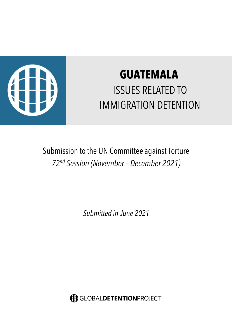

# **GUATEMALA** ISSUES RELATED TO IMMIGRATION DETENTION

Submission to the UN Committee against Torture *72nd Session (November – December 2021)*

*Submitted in June 2021*

GLOBALDETENTIONPROJECT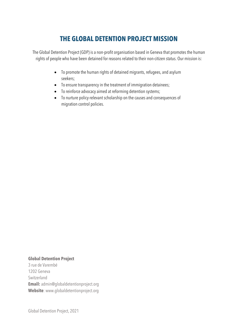## **THE GLOBAL DETENTION PROJECT MISSION**

The Global Detention Project (GDP) is a non-profit organisation based in Geneva that promotes the human rights of people who have been detained for reasons related to their non-citizen status. Our mission is:

- To promote the human rights of detained migrants, refugees, and asylum seekers;
- To ensure transparency in the treatment of immigration detainees;
- To reinforce advocacy aimed at reforming detention systems;
- To nurture policy-relevant scholarship on the causes and consequences of migration control policies.

### **Global Detention Project**

3 rue de Varembé 1202 Geneva Switzerland **Email:** admin@globaldetentionproject.org **Website**: www.globaldetentionproject.org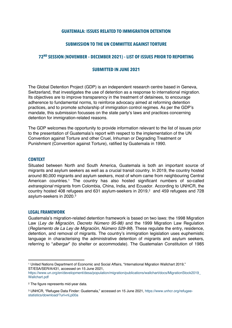#### **GUATEMALA: ISSUES RELATED TO IMMIGRATION DETENTION**

#### **SUBMISSION TO THE UN COMMITTEE AGAINST TORTURE**

#### **72ND SESSION (NOVEMBER – DECEMBER 2021) – LIST OF ISSUES PRIOR TO REPORTING**

#### **SUBMITTED IN JUNE 2021**

The Global Detention Project (GDP) is an independent research centre based in Geneva, Switzerland, that investigates the use of detention as a response to international migration. Its objectives are to improve transparency in the treatment of detainees, to encourage adherence to fundamental norms, to reinforce advocacy aimed at reforming detention practices, and to promote scholarship of immigration control regimes. As per the GDP's mandate, this submission focusses on the state party's laws and practices concerning detention for immigration-related reasons.

The GDP welcomes the opportunity to provide information relevant to the list of issues prior to the presentation of Guatemala's report with respect to the implementation of the UN Convention against Torture and other Cruel, Inhuman or Degrading Treatment or Punishment (Convention against Torture), ratified by Guatemala in 1990.

#### **CONTEXT**

Situated between North and South America, Guatemala is both an important source of migrants and asylum seekers as well as a crucial transit country. In 2019, the country hosted around 80,000 migrants and asylum seekers, most of whom came from neighbouring Central American countries.<sup>1</sup> The country has also hosted significant numbers of so-called *extraregional* migrants from Colombia, China, India, and Ecuador. According to UNHCR, the country hosted 408 refugees and 631 asylum-seekers in 2019, <sup>2</sup> and 459 refugees and 728 asylum-seekers in 2020. 3

#### **LEGAL FRAMEWORK**

Guatemala's migration-related detention framework is based on two laws: the 1998 Migration Law (*Ley de Migración*, *Decreto Número 95-98)* and the 1999 Migration Law Regulation (*Reglamento de La Ley de Migración, Número 529-99*). These regulate the entry, residence, detention, and removal of migrants. The country's immigration legislation uses euphemistic language in characterising the administrative detention of migrants and asylum seekers, referring to "*albergar*" (to shelter or accommodate). The Guatemalan Constitution of 1985

<sup>1</sup> United Nations Department of Economic and Social Affairs, "International Migration Wallchart 2019," ST/ESA/SER/A/431, accessed on 15 June 2021,

https://www.un.org/en/development/desa/population/migration/publications/wallchart/docs/MigrationStock2019\_ Wallchart.pdf

<sup>2</sup> The figure represents mid-year data.

<sup>3</sup> UNHCR, "Refugee Data Finder: Guatemala," accessed on 15 June 2021, https://www.unhcr.org/refugeestatistics/download/?url=nLp00a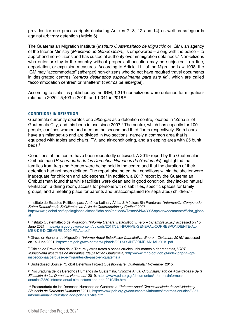provides for due process rights (including Articles 7, 8, 12 and 14) as well as safeguards against arbitrary detention (Article 6).

The Guatemalan Migration Institute (*Instituto Guatemalteco de Migración* or IGM), an agency of the Interior Ministry (*Ministerio de Gobernación)*, is empowered – along with the police – to apprehend non-citizens and has custodial authority over immigration detainees.4 Non-citizens who enter or stay in the country without proper authorisation may be subjected to a fine, deportation, or expulsion measures. According to Article 111 of the Migration Law 1998, the IGM may "accommodate" (*albergar*) non-citizens who do not have required travel documents in designated centres (*centros destinados especialmente para este fin*), which are called "accommodation centres" or "shelters" (*centros de albergue*).

According to statistics published by the IGM, 1,319 non-citizens were detained for migrationrelated in 2020, <sup>5</sup> 5,403 in 2019, and 1,041 in 2018.6

#### **CONDITIONS IN DETENTION**

Guatemala currently operates one *albergue* as a detention centre, located in "Zona 5" of Guatemala City, and this been in use since 2007.<sup>7</sup> The centre, which has capacity for 100 people, confines women and men on the second and third floors respectively. Both floors have a similar set-up and are divided in two sections, namely a common area that is equipped with tables and chairs, TV, and air-conditioning, and a sleeping area with 25 bunk beds.8

Conditions at the centre have been repeatedly criticised. A 2019 report by the Guatemalan Ombudsman (*Procuraduría de los Derechos Humanos de Guatemala*) highlighted that families from Iraq and Yemen were being held in the centre and that the duration of their detention had not been defined. The report also noted that conditions within the shelter were inadequate for children and adolescents.<sup>9</sup> In addition, a 2017 report by the Guatemalan Ombudsman found that while facilities were clean and in good condition, they lacked natural ventilation, a dining room, access for persons with disabilities, specific spaces for family groups, and a meeting place for parents and unaccompanied (or separated) children.10

<sup>4</sup> Instituto de Estudios Políticos para América Latina y África & Médicos Sin Fronteras, "*Información Comparada Sobre Detención de Solicitantes de Asilo de Centroamérica y Caribe*," 2007,

http://www.gloobal.net/iepala/gloobal/fichas/ficha.php?entidad=Textos&id=4303&opcion=documento#ficha\_gloob al

<sup>5</sup> Instituto Guatemalteco de Migración, "*Informe General Estadístico: Enero – Diciembre 2020*," accessed on 15 June 2021, https://igm.gob.gt/wp-content/uploads/2017/09/INFORME-GENERAL-CORRESPONDIENTE-AL-MES-DE-DICIEMBRE-2020-FINAL-.pdf

<sup>6</sup> Dirección General de Migración, "*Informe Anual Estadístico Cuantitativo: Enero – Diciembre 2019*," accessed on 15 June 2021, https://igm.gob.gt/wp-content/uploads/2017/09/INFORME-ANUAL-2019.pdf

<sup>7</sup> Oficina de Prevención de la Tortura y otros tratos o penas crueles, inhumanos o degradantes, "*OPT inspecciona albergues de migrantes "de paso" en Guatemala,"* http://www.mnp-opt.gob.gt/index.php/92-optinspeccionaalbergues-de-migrantes-de-paso-en-guatemala

<sup>8</sup> Undisclosed Source, "Global Detention Project Questionnaire: Guatemala," November 2015.

<sup>9</sup> Procuraduría de los Derechos Humanos de Guatemala, "*Informe Anual Circunstanciado de Actividades y de la Situación de los Derechos Humanos*," 2019, https://www.pdh.org.gt/documentos/informes/informesanuales/3859-informe-anual-circunstanciado-pdh-2019/file.html

<sup>10</sup> Procuraduría de los Derechos Humanos de Guatemala, "*Informe Anual Circunstanciado de Actividades y Situación de Derechos Humanos,"* 2017, https://www.pdh.org.gt/documentos/informes/informes-anuales/3857 informe-anual-circunstanciado-pdh-2017/file.html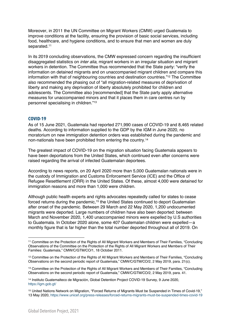Moreover, in 2011 the UN Committee on Migrant Workers (CMW) urged Guatemala to improve conditions at the facility, ensuring the provision of basic social services, including food, healthcare, and hygiene conditions, and to ensure that men and women are duly separated.<sup>11</sup>

In its 2019 concluding observations, the CMW expressed concern regarding the insufficient disaggregated statistics on *inter alia*, migrant workers in an irregular situation and migrant workers in detention. The Committee thus recommended that the State party: "verify the information on detained migrants and on unaccompanied migrant children and compare this information with that of neighbouring countries and destination countries."12 The Committee also recommended the phasing out of "all migration-related measures of deprivation of liberty and making any deprivation of liberty absolutely prohibited for children and adolescents. The Committee also [recommended] that the State party apply alternative measures for unaccompanied minors and that it places them in care centres run by personnel specialising in children."13

#### **COVID-19**

As of 15 June 2021, Guatemala had reported 271,990 cases of COVID-19 and 8,465 related deaths. According to information supplied to the GDP by the IGM in June 2020, no moratorium on new immigration detention orders was established during the pandemic and non-nationals have been prohibited from entering the country.14

The greatest impact of COVID-19 on the migration situation facing Guatemala appears to have been deportations from the United States, which continued even after concerns were raised regarding the arrival of infected Guatemalan deportees.

According to news reports, on 20 April 2020 more than 5,000 Guatemalan nationals were in the custody of Immigration and Customs Enforcement Service (ICE) and the Office of Refugee Resettlement (ORR) in the United States. Of these, almost 4,000 were detained for immigration reasons and more than 1,000 were children.

Although public health experts and rights advocates repeatedly called for states to cease forced returns during the pandemic,<sup>15</sup> the United States continued to deport Guatemalan after onset of the pandemic. Between 29 March and 22 May 2020, 1,200 undocumented migrants were deported. Large numbers of children have also been deported: between March and November 2020, 1,400 unaccompanied minors were expelled by U.S authorities to Guatemala. In October 2020 alone, some 407 Guatemalan children were expelled—a monthly figure that is far higher than the total number deported throughout all of 2019. On

<sup>11</sup> Committee on the Protection of the Rights of All Migrant Workers and Members of Their Families, "Concluding Observations of the Committee on the Protection of the Rights of All Migrant Workers and Members of Their Families: Guatemala," CMW/C/GTM/CO/1, 18 October 2011.

<sup>12</sup> Committee on the Protection of the Rights of All Migrant Workers and Members of Their Families, "Concluding Observations on the second periodic report of Guatemala," CMW/C/GTM/CO/2, 2 May 2019, para. 21(c).

<sup>13</sup> Committee on the Protection of the Rights of All Migrant Workers and Members of Their Families, "Concluding Observations on the second periodic report of Guatemala," CMW/C/GTM/CO/2, 2 May 2019, para. 41.

<sup>14</sup> Instituto Guatemalteco de Migración, Global Detention Project COVID-19 Survey, 9 June 2020, https://igm.gob.gt/

<sup>15</sup> United Nations Network on Migration, "Forced Returns of Migrants Must be Suspended in Times of Covid-19," 13 May 2020, https://www.unicef.org/press-releases/forced-returns-migrants-must-be-suspended-times-covid-19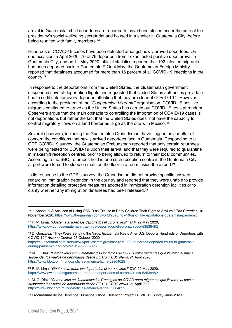arrival in Guatemala, child deportees are reported to have been placed under the care of the presidency's social wellbeing secretariat and housed in a shelter in Guatemala City, before being reunited with family members.<sup>16</sup>

Hundreds of COVID-19 cases have been detected amongst newly arrived deportees. On one occasion in April 2020, 70 of 76 deportees from Texas tested positive upon arrival in Guatemala City, and on 11 May 2020, official statistics reported that 102 infected migrants had been deported back to Guatemala.17 On 4 May, the Guatemalan Foreign Ministry reported that detainees accounted for more than 15 percent of all COVID-19 infections in the country.18

In response to the deportations from the United States, the Guatemalan government suspended several deportation flights and requested that United States authorities provide a health certificate for every deportee attesting that they are clear of COVID-19.19 However, according to the president of the "*Cooperacion Migrante*" organisation, COVID-19 positive migrants continued to arrive as the United States has carried out COVID-19 tests at random. Observers argue that the main obstacle to controlling the importation of COVID-19 cases is not deportations but rather the fact that the United States does "not have the capacity to control migratory flows on a land border as large as the one with Mexico."20

Several observers, including the Guatemalan Ombudsman, have flagged as a matter of concern the conditions that newly arrived deportees face in Guatemala. Responding to a GDP COVID-19 survey, the Guatemalan Ombudsman reported that only certain returnees were being tested for COVID-19 upon their arrival and that they were required to quarantine in makeshift reception centres, prior to being allowed to return to their local communities. According to the BBC, returnees held in one such reception centre in the Guatemala City airport were forced to sleep on mats on the floor in a room inside the airport. 21

In its response to the GDP's survey, the Ombudsman did not provide specific answers regarding immigration detention in the country and reported that they were unable to provide information detailing protective measures adopted in immigration detention facilities or to clarify whether any immigration detainees had been released.<sup>22</sup>

<sup>16</sup> J. Abbott, "US Accused of Using COVID as Excuse to Deny Children Their Right to Asylum," *The Guardian*, 10 November 2020, https://www.theguardian.com/world/2020/nov/10/us-child-deportations-guatemala-pandemic

<sup>17</sup> R. M. Lima, "*Guatemala: traen los deportados el coronavirus?*" *DW*, 22 May 2020, https://www.dw.com/es/guatemala-traen-los-deportados-el-coronavirus/a-53538482

<sup>18</sup> D. Gonzalez, "They Were Sending the Virus: Guatemala Reels After U.S. Deports Hundreds of Deportees with COVID-19," *Arizona Central*, 28 October 2020,

https://eu.azcentral.com/story/news/politics/immigration/2020/10/28/hundreds-deported-by-us-to-guatemaladuring-pandemic-had-covid-19/5902239002/

<sup>19</sup> M. G. Díaz, "*Coronavirus en Guatemala: los Contagios de COVID entre migrantes que llevaron al país a suspender los vuelos de deportados desde EE.UU.,*" *BBC News*, 21 April 2020, https://www.bbc.com/mundo/noticias-america-latina-52364025

<sup>20</sup> R. M. Lima, "*Guatemala: traen los deportados el coronavirus?*" DW, 22 May 2020, https://www.dw.com/es/guatemala-traen-los-deportados-el-coronavirus/a-53538482

<sup>21</sup> M. G. Díaz, "*Coronavirus en Guatemala: los Contagios de COVID entre migrantes que llevaron al país a suspender los vuelos de deportados desde EE.UU.,*" *BBC News*, 21 April 2020, https://www.bbc.com/mundo/noticias-america-latina-52364025

<sup>22</sup> Procuraduría de los Derechos Humanos, Global Detention Project COVID-19 Survey, June 2020.